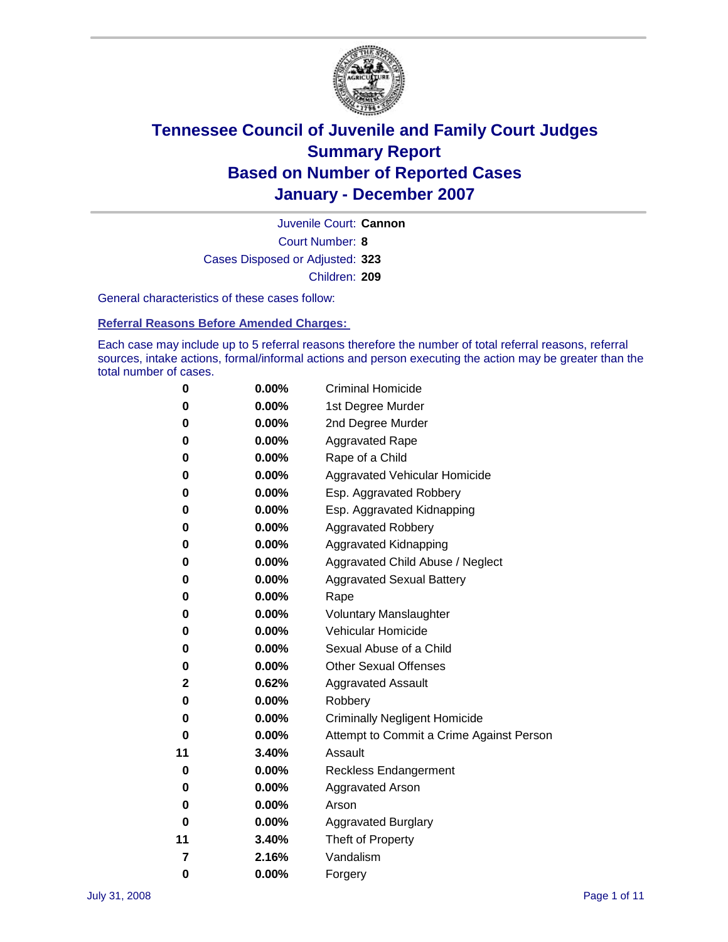

Court Number: **8** Juvenile Court: **Cannon** Cases Disposed or Adjusted: **323** Children: **209**

General characteristics of these cases follow:

**Referral Reasons Before Amended Charges:** 

Each case may include up to 5 referral reasons therefore the number of total referral reasons, referral sources, intake actions, formal/informal actions and person executing the action may be greater than the total number of cases.

| 0  | 0.00%    | <b>Criminal Homicide</b>                 |
|----|----------|------------------------------------------|
| 0  | 0.00%    | 1st Degree Murder                        |
| 0  | $0.00\%$ | 2nd Degree Murder                        |
| 0  | 0.00%    | <b>Aggravated Rape</b>                   |
| 0  | 0.00%    | Rape of a Child                          |
| 0  | 0.00%    | Aggravated Vehicular Homicide            |
| 0  | 0.00%    | Esp. Aggravated Robbery                  |
| 0  | 0.00%    | Esp. Aggravated Kidnapping               |
| 0  | 0.00%    | <b>Aggravated Robbery</b>                |
| 0  | 0.00%    | Aggravated Kidnapping                    |
| 0  | 0.00%    | Aggravated Child Abuse / Neglect         |
| 0  | $0.00\%$ | <b>Aggravated Sexual Battery</b>         |
| 0  | 0.00%    | Rape                                     |
| 0  | 0.00%    | <b>Voluntary Manslaughter</b>            |
| 0  | 0.00%    | Vehicular Homicide                       |
| 0  | 0.00%    | Sexual Abuse of a Child                  |
| 0  | 0.00%    | <b>Other Sexual Offenses</b>             |
| 2  | 0.62%    | <b>Aggravated Assault</b>                |
| 0  | $0.00\%$ | Robbery                                  |
| 0  | 0.00%    | <b>Criminally Negligent Homicide</b>     |
| 0  | 0.00%    | Attempt to Commit a Crime Against Person |
| 11 | 3.40%    | Assault                                  |
| 0  | 0.00%    | <b>Reckless Endangerment</b>             |
| 0  | 0.00%    | Aggravated Arson                         |
| 0  | 0.00%    | Arson                                    |
| 0  | 0.00%    | <b>Aggravated Burglary</b>               |
| 11 | 3.40%    | Theft of Property                        |
| 7  | 2.16%    | Vandalism                                |
| 0  | 0.00%    | Forgery                                  |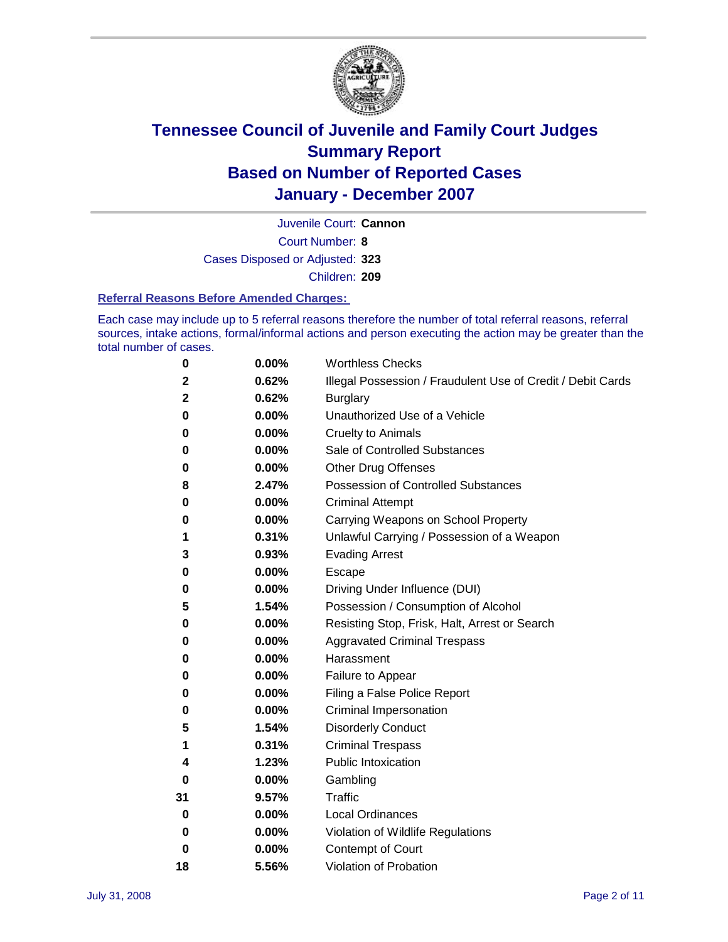

Court Number: **8** Juvenile Court: **Cannon** Cases Disposed or Adjusted: **323** Children: **209**

#### **Referral Reasons Before Amended Charges:**

Each case may include up to 5 referral reasons therefore the number of total referral reasons, referral sources, intake actions, formal/informal actions and person executing the action may be greater than the total number of cases.

| 0  | 0.00% | <b>Worthless Checks</b>                                     |
|----|-------|-------------------------------------------------------------|
| 2  | 0.62% | Illegal Possession / Fraudulent Use of Credit / Debit Cards |
| 2  | 0.62% | <b>Burglary</b>                                             |
| 0  | 0.00% | Unauthorized Use of a Vehicle                               |
| 0  | 0.00% | <b>Cruelty to Animals</b>                                   |
| 0  | 0.00% | Sale of Controlled Substances                               |
| 0  | 0.00% | <b>Other Drug Offenses</b>                                  |
| 8  | 2.47% | Possession of Controlled Substances                         |
| 0  | 0.00% | <b>Criminal Attempt</b>                                     |
| 0  | 0.00% | Carrying Weapons on School Property                         |
| 1  | 0.31% | Unlawful Carrying / Possession of a Weapon                  |
| 3  | 0.93% | <b>Evading Arrest</b>                                       |
| 0  | 0.00% | Escape                                                      |
| 0  | 0.00% | Driving Under Influence (DUI)                               |
| 5  | 1.54% | Possession / Consumption of Alcohol                         |
| 0  | 0.00% | Resisting Stop, Frisk, Halt, Arrest or Search               |
| 0  | 0.00% | <b>Aggravated Criminal Trespass</b>                         |
| 0  | 0.00% | Harassment                                                  |
| 0  | 0.00% | Failure to Appear                                           |
| 0  | 0.00% | Filing a False Police Report                                |
| 0  | 0.00% | Criminal Impersonation                                      |
| 5  | 1.54% | <b>Disorderly Conduct</b>                                   |
| 1  | 0.31% | <b>Criminal Trespass</b>                                    |
| 4  | 1.23% | <b>Public Intoxication</b>                                  |
| 0  | 0.00% | Gambling                                                    |
| 31 | 9.57% | Traffic                                                     |
| 0  | 0.00% | <b>Local Ordinances</b>                                     |
| 0  | 0.00% | Violation of Wildlife Regulations                           |
| 0  | 0.00% | Contempt of Court                                           |
| 18 | 5.56% | Violation of Probation                                      |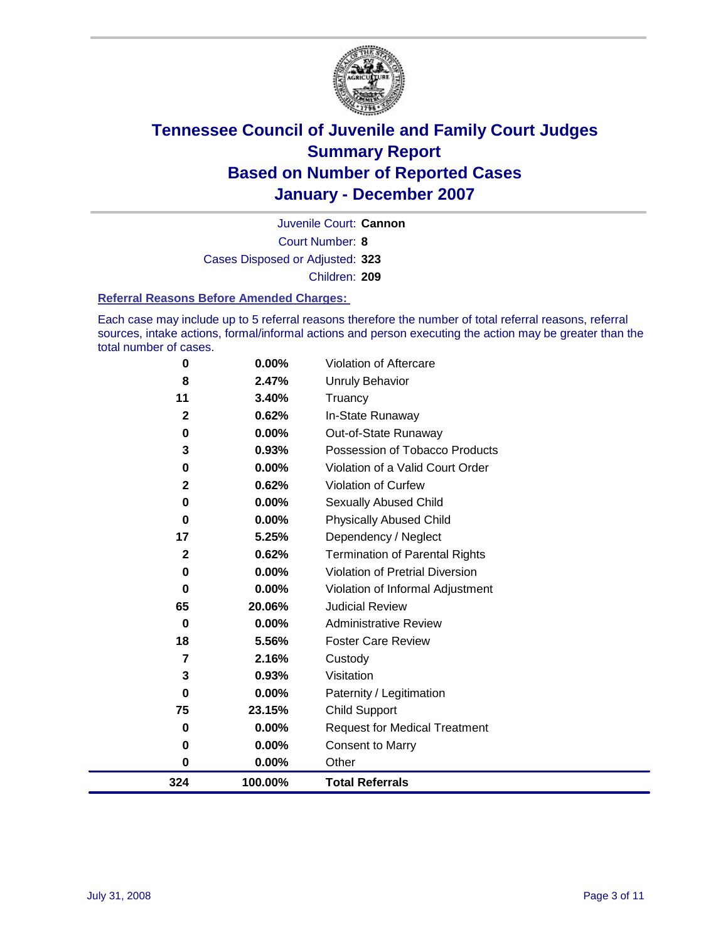

Court Number: **8** Juvenile Court: **Cannon** Cases Disposed or Adjusted: **323** Children: **209**

#### **Referral Reasons Before Amended Charges:**

Each case may include up to 5 referral reasons therefore the number of total referral reasons, referral sources, intake actions, formal/informal actions and person executing the action may be greater than the total number of cases.

| 0            | 0.00%    | Violation of Aftercare                 |
|--------------|----------|----------------------------------------|
| 8            | 2.47%    | <b>Unruly Behavior</b>                 |
| 11           | 3.40%    | Truancy                                |
| $\mathbf{2}$ | 0.62%    | In-State Runaway                       |
| 0            | 0.00%    | Out-of-State Runaway                   |
| 3            | 0.93%    | Possession of Tobacco Products         |
| 0            | $0.00\%$ | Violation of a Valid Court Order       |
| $\mathbf 2$  | 0.62%    | Violation of Curfew                    |
| 0            | 0.00%    | Sexually Abused Child                  |
| 0            | 0.00%    | <b>Physically Abused Child</b>         |
| 17           | 5.25%    | Dependency / Neglect                   |
| $\mathbf{2}$ | 0.62%    | <b>Termination of Parental Rights</b>  |
| 0            | 0.00%    | <b>Violation of Pretrial Diversion</b> |
| 0            | 0.00%    | Violation of Informal Adjustment       |
| 65           | 20.06%   | <b>Judicial Review</b>                 |
| 0            | 0.00%    | <b>Administrative Review</b>           |
| 18           | 5.56%    | <b>Foster Care Review</b>              |
| 7            | 2.16%    | Custody                                |
| 3            | 0.93%    | Visitation                             |
| 0            | 0.00%    | Paternity / Legitimation               |
| 75           | 23.15%   | <b>Child Support</b>                   |
| 0            | 0.00%    | <b>Request for Medical Treatment</b>   |
| 0            | 0.00%    | <b>Consent to Marry</b>                |
| 0            | 0.00%    | Other                                  |
| 324          | 100.00%  | <b>Total Referrals</b>                 |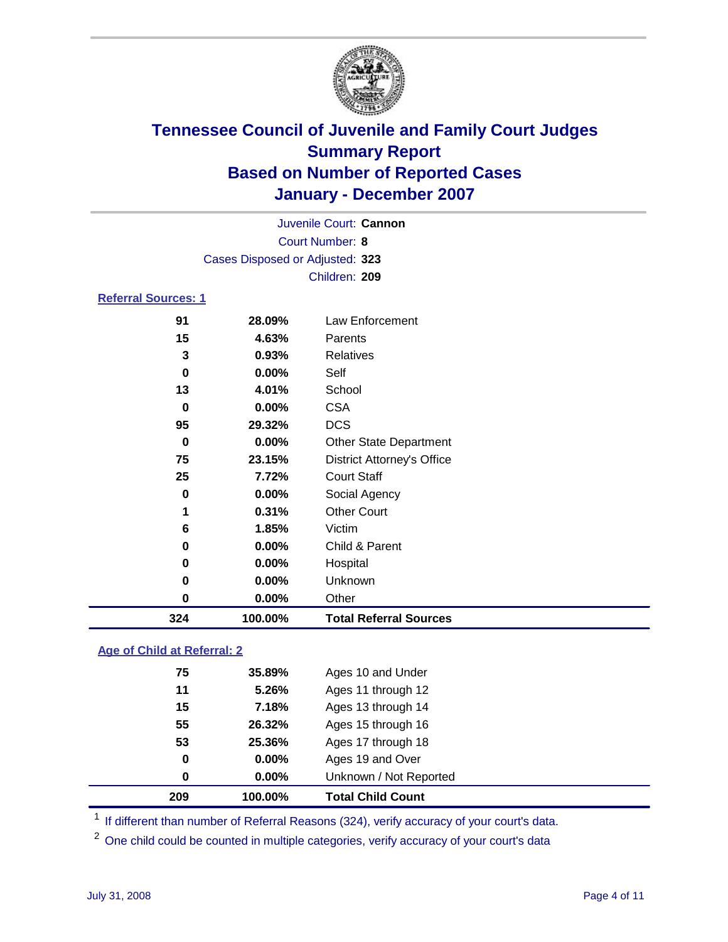

| Juvenile Court: Cannon          |  |
|---------------------------------|--|
| Court Number: 8                 |  |
| Cases Disposed or Adjusted: 323 |  |
| Children: 209                   |  |

### **Referral Sources: 1**

| 324         | 100.00% | <b>Total Referral Sources</b>     |
|-------------|---------|-----------------------------------|
| 0           | 0.00%   | Other                             |
| 0           | 0.00%   | Unknown                           |
| 0           | 0.00%   | Hospital                          |
| 0           | 0.00%   | Child & Parent                    |
| 6           | 1.85%   | Victim                            |
| 1           | 0.31%   | <b>Other Court</b>                |
| $\bf{0}$    | 0.00%   | Social Agency                     |
| 25          | 7.72%   | <b>Court Staff</b>                |
| 75          | 23.15%  | <b>District Attorney's Office</b> |
| $\mathbf 0$ | 0.00%   | <b>Other State Department</b>     |
| 95          | 29.32%  | <b>DCS</b>                        |
| 0           | 0.00%   | <b>CSA</b>                        |
| 13          | 4.01%   | School                            |
| 0           | 0.00%   | Self                              |
| 3           | 0.93%   | Relatives                         |
| 15          | 4.63%   | Parents                           |
| 91          | 28.09%  | Law Enforcement                   |
|             |         |                                   |

### **Age of Child at Referral: 2**

| 209      | 100.00%  | <b>Total Child Count</b> |
|----------|----------|--------------------------|
| $\bf{0}$ | $0.00\%$ | Unknown / Not Reported   |
| 0        | $0.00\%$ | Ages 19 and Over         |
| 53       | 25.36%   | Ages 17 through 18       |
| 55       | 26.32%   | Ages 15 through 16       |
| 15       | 7.18%    | Ages 13 through 14       |
| 11       | 5.26%    | Ages 11 through 12       |
| 75       | 35.89%   | Ages 10 and Under        |
|          |          |                          |

<sup>1</sup> If different than number of Referral Reasons (324), verify accuracy of your court's data.

One child could be counted in multiple categories, verify accuracy of your court's data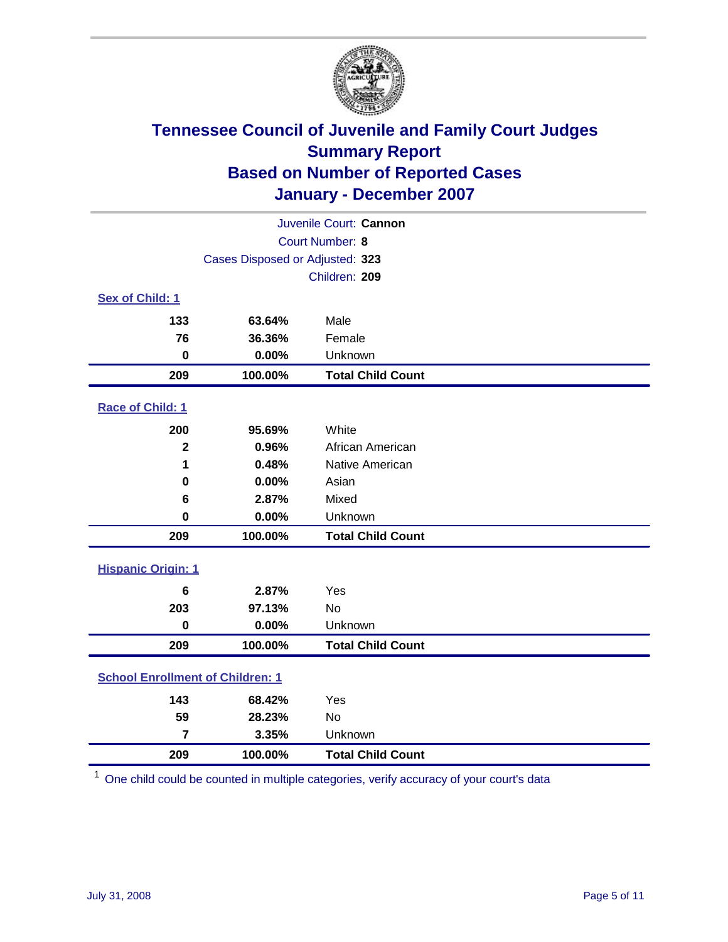

| Juvenile Court: Cannon                  |                                 |                          |  |  |
|-----------------------------------------|---------------------------------|--------------------------|--|--|
| Court Number: 8                         |                                 |                          |  |  |
|                                         | Cases Disposed or Adjusted: 323 |                          |  |  |
|                                         |                                 | Children: 209            |  |  |
| Sex of Child: 1                         |                                 |                          |  |  |
| 133                                     | 63.64%                          | Male                     |  |  |
| 76                                      | 36.36%                          | Female                   |  |  |
| $\bf{0}$                                | 0.00%                           | Unknown                  |  |  |
| 209                                     | 100.00%                         | <b>Total Child Count</b> |  |  |
| Race of Child: 1                        |                                 |                          |  |  |
| 200                                     | 95.69%                          | White                    |  |  |
| $\overline{\mathbf{2}}$                 | 0.96%                           | African American         |  |  |
| 1                                       | 0.48%                           | Native American          |  |  |
| 0                                       | 0.00%                           | Asian                    |  |  |
| 6                                       | 2.87%                           | Mixed                    |  |  |
| $\bf{0}$                                | 0.00%                           | Unknown                  |  |  |
| 209                                     | 100.00%                         | <b>Total Child Count</b> |  |  |
| <b>Hispanic Origin: 1</b>               |                                 |                          |  |  |
| 6                                       | 2.87%                           | Yes                      |  |  |
| 203                                     | 97.13%                          | <b>No</b>                |  |  |
| $\bf{0}$                                | 0.00%                           | Unknown                  |  |  |
| 209                                     | 100.00%                         | <b>Total Child Count</b> |  |  |
| <b>School Enrollment of Children: 1</b> |                                 |                          |  |  |
| 143                                     | 68.42%                          | Yes                      |  |  |
| 59                                      | 28.23%                          | No                       |  |  |
| $\overline{7}$                          | 3.35%                           | Unknown                  |  |  |
| 209                                     | 100.00%                         | <b>Total Child Count</b> |  |  |

One child could be counted in multiple categories, verify accuracy of your court's data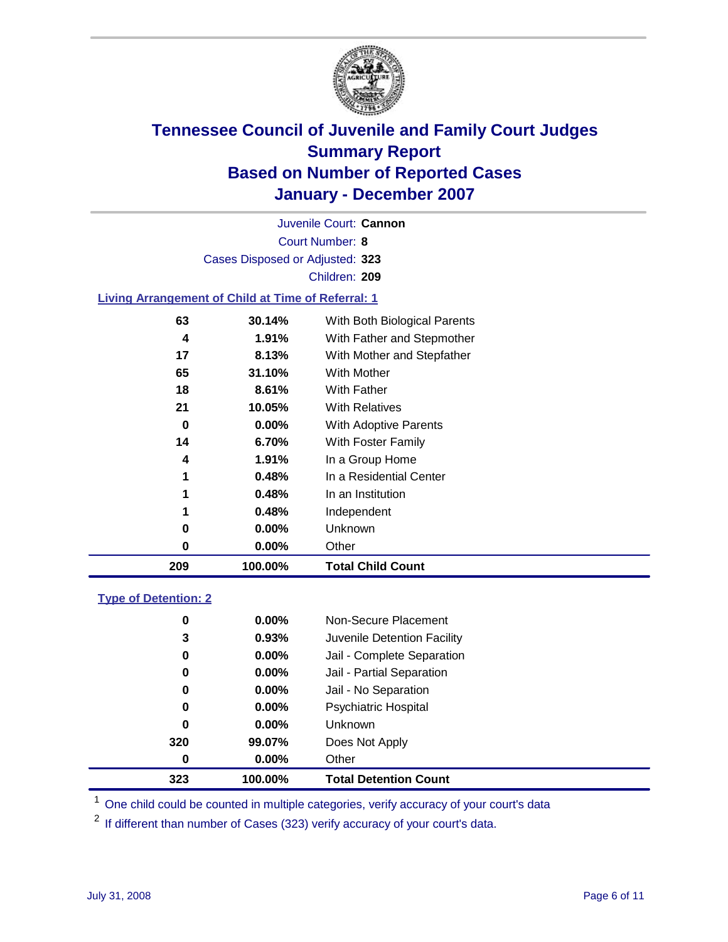

Court Number: **8** Juvenile Court: **Cannon** Cases Disposed or Adjusted: **323** Children: **209**

#### **Living Arrangement of Child at Time of Referral: 1**

| 209 | 100.00%  | <b>Total Child Count</b>     |
|-----|----------|------------------------------|
| 0   | 0.00%    | Other                        |
| 0   | 0.00%    | Unknown                      |
| 1   | 0.48%    | Independent                  |
| 1   | 0.48%    | In an Institution            |
| 1   | 0.48%    | In a Residential Center      |
| 4   | $1.91\%$ | In a Group Home              |
| 14  | 6.70%    | With Foster Family           |
| 0   | 0.00%    | With Adoptive Parents        |
| 21  | 10.05%   | <b>With Relatives</b>        |
| 18  | 8.61%    | With Father                  |
| 65  | 31.10%   | With Mother                  |
| 17  | 8.13%    | With Mother and Stepfather   |
| 4   | 1.91%    | With Father and Stepmother   |
| 63  | 30.14%   | With Both Biological Parents |
|     |          |                              |

#### **Type of Detention: 2**

| 323 | 100.00%  | <b>Total Detention Count</b> |  |
|-----|----------|------------------------------|--|
| 0   | $0.00\%$ | Other                        |  |
| 320 | 99.07%   | Does Not Apply               |  |
| 0   | $0.00\%$ | <b>Unknown</b>               |  |
| 0   | $0.00\%$ | <b>Psychiatric Hospital</b>  |  |
| 0   | 0.00%    | Jail - No Separation         |  |
| 0   | $0.00\%$ | Jail - Partial Separation    |  |
| 0   | $0.00\%$ | Jail - Complete Separation   |  |
| 3   | 0.93%    | Juvenile Detention Facility  |  |
| 0   | $0.00\%$ | Non-Secure Placement         |  |
|     |          |                              |  |

<sup>1</sup> One child could be counted in multiple categories, verify accuracy of your court's data

<sup>2</sup> If different than number of Cases (323) verify accuracy of your court's data.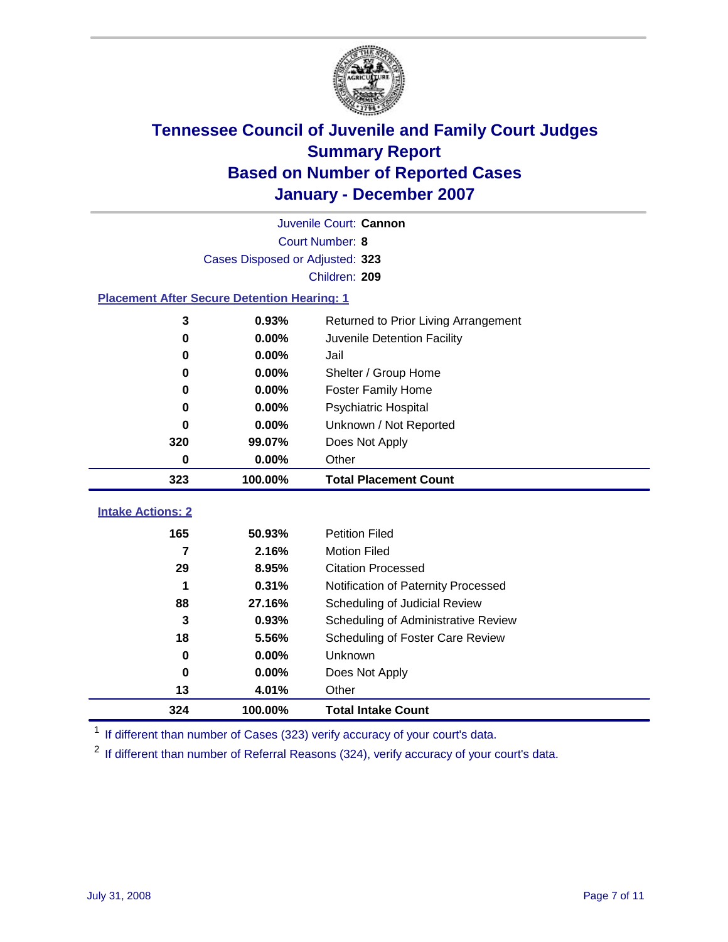

|                                                    | Juvenile Court: Cannon          |                                      |  |  |  |
|----------------------------------------------------|---------------------------------|--------------------------------------|--|--|--|
|                                                    | Court Number: 8                 |                                      |  |  |  |
|                                                    | Cases Disposed or Adjusted: 323 |                                      |  |  |  |
|                                                    |                                 | Children: 209                        |  |  |  |
| <b>Placement After Secure Detention Hearing: 1</b> |                                 |                                      |  |  |  |
| 3                                                  | 0.93%                           | Returned to Prior Living Arrangement |  |  |  |
| 0                                                  | 0.00%                           | Juvenile Detention Facility          |  |  |  |
| 0                                                  | 0.00%                           | Jail                                 |  |  |  |
| 0                                                  | $0.00\%$                        | Shelter / Group Home                 |  |  |  |
| 0                                                  | 0.00%                           | <b>Foster Family Home</b>            |  |  |  |
| 0                                                  | 0.00%                           | Psychiatric Hospital                 |  |  |  |
| 0                                                  | 0.00%                           | Unknown / Not Reported               |  |  |  |
| 320                                                | 99.07%                          | Does Not Apply                       |  |  |  |
| 0                                                  | 0.00%                           | Other                                |  |  |  |
| 323                                                | 100.00%                         | <b>Total Placement Count</b>         |  |  |  |
|                                                    |                                 |                                      |  |  |  |
| <b>Intake Actions: 2</b>                           |                                 |                                      |  |  |  |
| 165                                                | 50.93%                          | <b>Petition Filed</b>                |  |  |  |
| 7                                                  | 2.16%                           | <b>Motion Filed</b>                  |  |  |  |
| 29                                                 | 8.95%                           | <b>Citation Processed</b>            |  |  |  |
| 1                                                  | 0.31%                           | Notification of Paternity Processed  |  |  |  |
| 88                                                 | 27.16%                          | Scheduling of Judicial Review        |  |  |  |
| 3                                                  | 0.93%                           | Scheduling of Administrative Review  |  |  |  |
| 18                                                 | 5.56%                           | Scheduling of Foster Care Review     |  |  |  |
| 0                                                  | 0.00%                           | Unknown                              |  |  |  |
| 0                                                  | 0.00%                           | Does Not Apply                       |  |  |  |
| 13                                                 | 4.01%                           | Other                                |  |  |  |
| 324                                                | 100.00%                         | <b>Total Intake Count</b>            |  |  |  |

<sup>1</sup> If different than number of Cases (323) verify accuracy of your court's data.

<sup>2</sup> If different than number of Referral Reasons (324), verify accuracy of your court's data.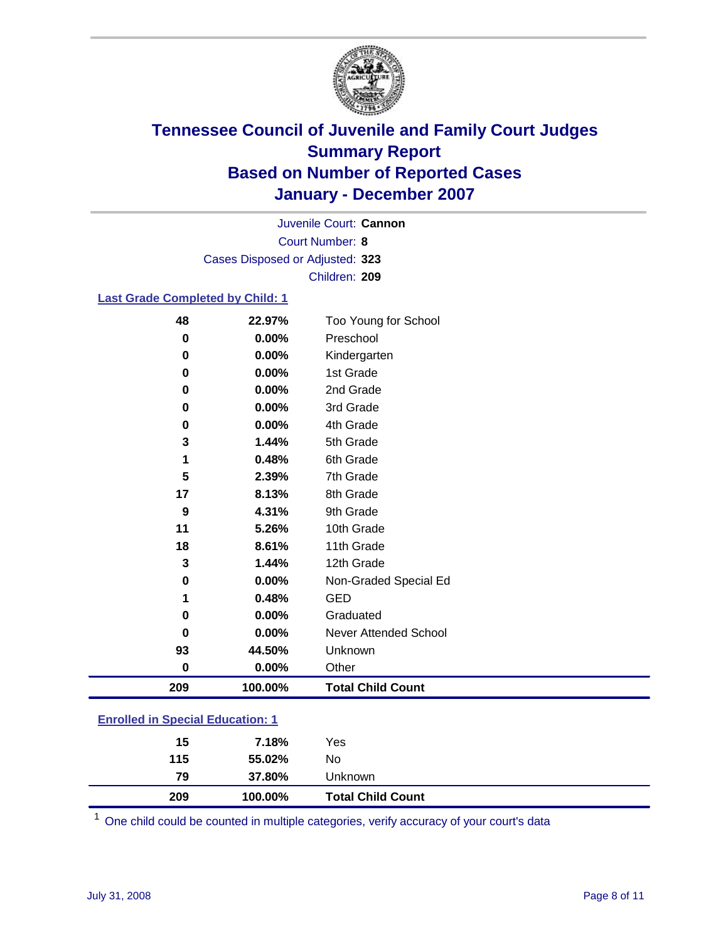

Court Number: **8** Juvenile Court: **Cannon** Cases Disposed or Adjusted: **323** Children: **209**

### **Last Grade Completed by Child: 1**

| 48       | 22.97%   | Too Young for School     |
|----------|----------|--------------------------|
| $\bf{0}$ | $0.00\%$ | Preschool                |
| 0        | 0.00%    | Kindergarten             |
| 0        | 0.00%    | 1st Grade                |
| 0        | 0.00%    | 2nd Grade                |
| $\bf{0}$ | 0.00%    | 3rd Grade                |
| 0        | 0.00%    | 4th Grade                |
| 3        | 1.44%    | 5th Grade                |
| 1        | 0.48%    | 6th Grade                |
| 5        | 2.39%    | 7th Grade                |
| 17       | 8.13%    | 8th Grade                |
| 9        | 4.31%    | 9th Grade                |
| 11       | 5.26%    | 10th Grade               |
| 18       | 8.61%    | 11th Grade               |
| 3        | 1.44%    | 12th Grade               |
| $\bf{0}$ | 0.00%    | Non-Graded Special Ed    |
| 1        | 0.48%    | <b>GED</b>               |
| 0        | 0.00%    | Graduated                |
| $\Omega$ | 0.00%    | Never Attended School    |
| 93       | 44.50%   | Unknown                  |
| $\bf{0}$ | 0.00%    | Other                    |
| 209      | 100.00%  | <b>Total Child Count</b> |

### **Enrolled in Special Education: 1**

<sup>1</sup> One child could be counted in multiple categories, verify accuracy of your court's data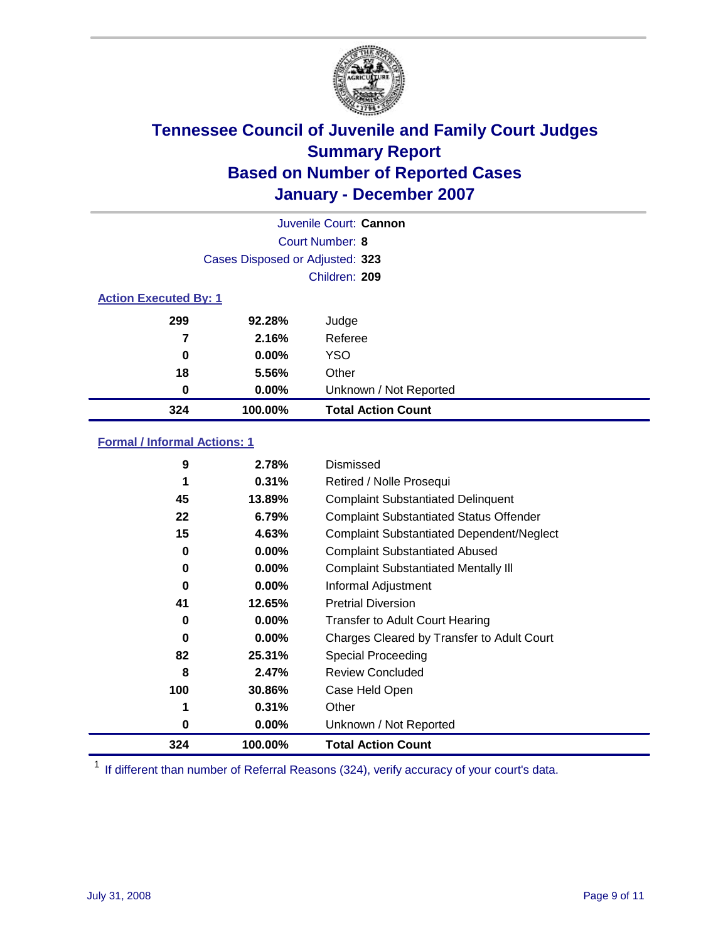

|                              |                                 | Juvenile Court: Cannon    |
|------------------------------|---------------------------------|---------------------------|
|                              |                                 | Court Number: 8           |
|                              | Cases Disposed or Adjusted: 323 |                           |
|                              |                                 | Children: 209             |
| <b>Action Executed By: 1</b> |                                 |                           |
| 299                          | 92.28%                          | Judge                     |
| 7                            | 2.16%                           | Referee                   |
| 0                            | $0.00\%$                        | <b>YSO</b>                |
| 18                           | 5.56%                           | Other                     |
| 0                            | $0.00\%$                        | Unknown / Not Reported    |
| 324                          | 100.00%                         | <b>Total Action Count</b> |

### **Formal / Informal Actions: 1**

| 9   | 2.78%    | Dismissed                                        |
|-----|----------|--------------------------------------------------|
| 1   | 0.31%    | Retired / Nolle Prosequi                         |
| 45  | 13.89%   | <b>Complaint Substantiated Delinquent</b>        |
| 22  | 6.79%    | <b>Complaint Substantiated Status Offender</b>   |
| 15  | 4.63%    | <b>Complaint Substantiated Dependent/Neglect</b> |
| 0   | 0.00%    | <b>Complaint Substantiated Abused</b>            |
| 0   | 0.00%    | <b>Complaint Substantiated Mentally III</b>      |
| 0   | $0.00\%$ | Informal Adjustment                              |
| 41  | 12.65%   | <b>Pretrial Diversion</b>                        |
| 0   | $0.00\%$ | <b>Transfer to Adult Court Hearing</b>           |
| 0   | $0.00\%$ | Charges Cleared by Transfer to Adult Court       |
| 82  | 25.31%   | Special Proceeding                               |
| 8   | 2.47%    | <b>Review Concluded</b>                          |
| 100 | 30.86%   | Case Held Open                                   |
|     | 0.31%    | Other                                            |
| 0   | $0.00\%$ | Unknown / Not Reported                           |
| 324 | 100.00%  | <b>Total Action Count</b>                        |

<sup>1</sup> If different than number of Referral Reasons (324), verify accuracy of your court's data.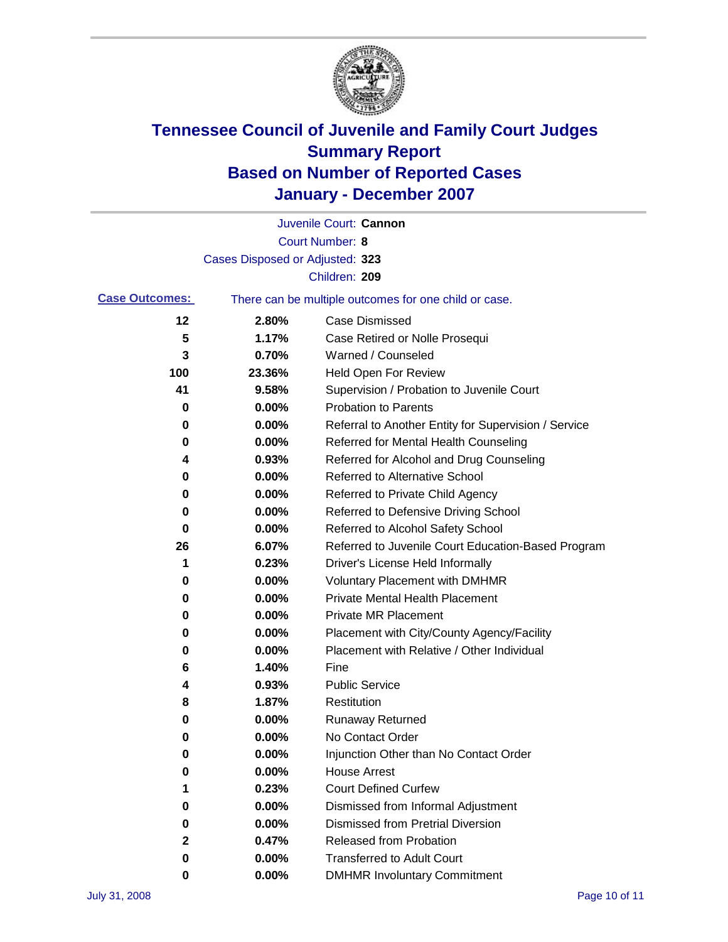

|                       |                                 | Juvenile Court: Cannon                                |
|-----------------------|---------------------------------|-------------------------------------------------------|
|                       |                                 | Court Number: 8                                       |
|                       | Cases Disposed or Adjusted: 323 |                                                       |
|                       |                                 | Children: 209                                         |
| <b>Case Outcomes:</b> |                                 | There can be multiple outcomes for one child or case. |
| 12                    | 2.80%                           | <b>Case Dismissed</b>                                 |
| 5                     | 1.17%                           | Case Retired or Nolle Prosequi                        |
| 3                     | 0.70%                           | Warned / Counseled                                    |
| 100                   | 23.36%                          | <b>Held Open For Review</b>                           |
| 41                    | 9.58%                           | Supervision / Probation to Juvenile Court             |
| 0                     | 0.00%                           | <b>Probation to Parents</b>                           |
| 0                     | 0.00%                           | Referral to Another Entity for Supervision / Service  |
| 0                     | 0.00%                           | Referred for Mental Health Counseling                 |
| 4                     | 0.93%                           | Referred for Alcohol and Drug Counseling              |
| 0                     | 0.00%                           | Referred to Alternative School                        |
| 0                     | 0.00%                           | Referred to Private Child Agency                      |
| 0                     | 0.00%                           | Referred to Defensive Driving School                  |
| 0                     | 0.00%                           | Referred to Alcohol Safety School                     |
| 26                    | 6.07%                           | Referred to Juvenile Court Education-Based Program    |
| 1                     | 0.23%                           | Driver's License Held Informally                      |
| 0                     | 0.00%                           | <b>Voluntary Placement with DMHMR</b>                 |
| 0                     | 0.00%                           | <b>Private Mental Health Placement</b>                |
| 0                     | 0.00%                           | <b>Private MR Placement</b>                           |
| 0                     | 0.00%                           | Placement with City/County Agency/Facility            |
| 0                     | 0.00%                           | Placement with Relative / Other Individual            |
| 6                     | 1.40%                           | Fine                                                  |
| 4                     | 0.93%                           | <b>Public Service</b>                                 |
| 8                     | 1.87%                           | Restitution                                           |
| 0                     | 0.00%                           | <b>Runaway Returned</b>                               |
| 0                     | 0.00%                           | No Contact Order                                      |
| 0                     | 0.00%                           | Injunction Other than No Contact Order                |
| 0                     | 0.00%                           | <b>House Arrest</b>                                   |
| 1                     | 0.23%                           | <b>Court Defined Curfew</b>                           |
| 0                     | 0.00%                           | Dismissed from Informal Adjustment                    |
| 0                     | 0.00%                           | <b>Dismissed from Pretrial Diversion</b>              |
| 2                     | 0.47%                           | <b>Released from Probation</b>                        |
| 0                     | 0.00%                           | <b>Transferred to Adult Court</b>                     |
| 0                     | $0.00\%$                        | <b>DMHMR Involuntary Commitment</b>                   |